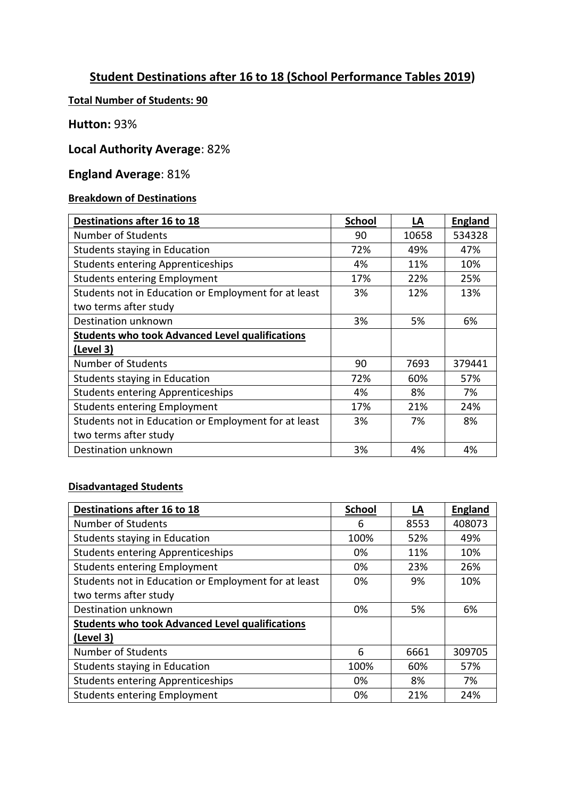## **Student Destinations after 16 to 18 (School Performance Tables 2019)**

### **Total Number of Students: 90**

### **Hutton:** 93%

### **Local Authority Average**: 82%

# **England Average**: 81%

### **Breakdown of Destinations**

| Destinations after 16 to 18                            | <b>School</b> | LA    | <b>England</b> |
|--------------------------------------------------------|---------------|-------|----------------|
| Number of Students                                     | 90            | 10658 | 534328         |
| Students staying in Education                          | 72%           | 49%   | 47%            |
| <b>Students entering Apprenticeships</b>               | 4%            | 11%   | 10%            |
| <b>Students entering Employment</b>                    | 17%           | 22%   | 25%            |
| Students not in Education or Employment for at least   | 3%            | 12%   | 13%            |
| two terms after study                                  |               |       |                |
| Destination unknown                                    | 3%            | 5%    | 6%             |
| <b>Students who took Advanced Level qualifications</b> |               |       |                |
| (Level 3)                                              |               |       |                |
| Number of Students                                     | 90            | 7693  | 379441         |
| Students staying in Education                          | 72%           | 60%   | 57%            |
| <b>Students entering Apprenticeships</b>               | 4%            | 8%    | 7%             |
| <b>Students entering Employment</b>                    | 17%           | 21%   | 24%            |
| Students not in Education or Employment for at least   | 3%            | 7%    | 8%             |
| two terms after study                                  |               |       |                |
| Destination unknown                                    | 3%            | 4%    | 4%             |

#### **Disadvantaged Students**

| <b>Destinations after 16 to 18</b>                     | <b>School</b> | LA   | <b>England</b> |
|--------------------------------------------------------|---------------|------|----------------|
| <b>Number of Students</b>                              | 6             | 8553 | 408073         |
| Students staying in Education                          | 100%          | 52%  | 49%            |
| <b>Students entering Apprenticeships</b>               | 0%            | 11%  | 10%            |
| <b>Students entering Employment</b>                    | 0%            | 23%  | 26%            |
| Students not in Education or Employment for at least   | 0%            | 9%   | 10%            |
| two terms after study                                  |               |      |                |
| Destination unknown                                    | 0%            | 5%   | 6%             |
| <b>Students who took Advanced Level qualifications</b> |               |      |                |
| (Level 3)                                              |               |      |                |
| Number of Students                                     | 6             | 6661 | 309705         |
| Students staying in Education                          | 100%          | 60%  | 57%            |
| <b>Students entering Apprenticeships</b>               | 0%            | 8%   | 7%             |
| <b>Students entering Employment</b>                    | 0%            | 21%  | 24%            |